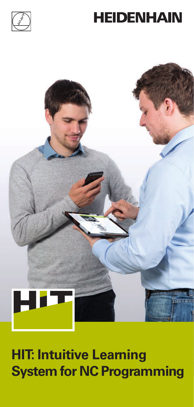





# **HIT: Intuitive Learning System for NC Programming**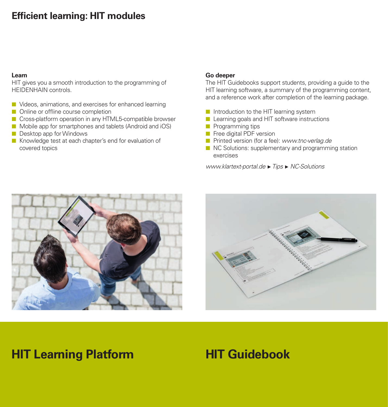### **Efficient learning: HIT modules**

#### **Learn**

HIT gives you a smooth introduction to the programming of HEIDENHAIN controls.

- Videos, animations, and exercises for enhanced learning
- Online or offline course completion
- Cross-platform operation in any HTML5-compatible browser
- Mobile app for smartphones and tablets (Android and iOS) Desktop app for Windows
- Knowledge test at each chapter's end for evaluation of covered topics

#### **Go deeper**

The HIT Guidebooks support students, providing a guide to the HIT learning software, a summary of the programming content, and a reference work after completion of the learning package.

- Introduction to the HIT learning system
- **Learning goals and HIT software instructions**
- **Programming tips**
- **Free digital PDF version**
- **Printed version (for a fee): www.tnc-verlag.de**
- NC Solutions: supplementary and programming station exercises

*www.klartext-portal.de Tips NC-Solutions*





## **HIT Learning Platform**

## **HIT Guidebook**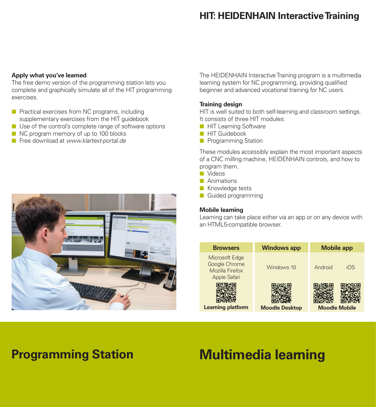### **HIT: HEIDENHAIN Interactive Training**

#### **Apply what you've learned**

The free demo version of the programming station lets you complete and graphically simulate all of the HIT programming exercises.

- **Practical exercises from NC programs, including** supplementary exercises from the HIT guidebook
- Use of the control's complete range of software options
- NC program memory of up to 100 blocks
- Free download at *www.klartext-portal.de*



The HEIDENHAIN Interactive Training program is a multimedia learning system for NC programming, providing qualified beginner and advanced vocational training for NC users.

#### **Training design**

HIT is well suited to both self-learning and classroom settings. It consists of three HIT modules:

- **HIT Learning Software**
- **HIT Guidebook**
- **Programming Station**

These modules accessibly explain the most important aspects of a CNC milling machine, HEIDENHAIN controls, and how to program them.

- Videos
- **Animations**
- Knowledge tests
- Guided programming

#### **Mobile learning**

Learning can take place either via an app or on any device with an HTML5-compatible browser.

| <b>Browsers</b>                                                    | <b>Windows app</b>    | <b>Mobile app</b>    |
|--------------------------------------------------------------------|-----------------------|----------------------|
| Microsoft Edge<br>Google Chrome<br>Mozilla Firefox<br>Apple Safari | Windows 10            | Android<br>iOS       |
| <b>Learning platform</b>                                           | <b>Moodle Desktop</b> | <b>Moodle Mobile</b> |

## **Programming Station**

## **Multimedia learning**